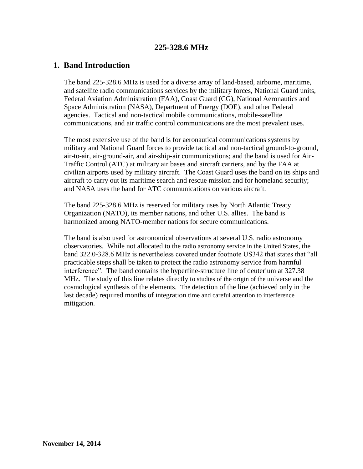# **225-328.6 MHz**

## **1. Band Introduction**

The band 225-328.6 MHz is used for a diverse array of land-based, airborne, maritime, and satellite radio communications services by the military forces, National Guard units, Federal Aviation Administration (FAA), Coast Guard (CG), National Aeronautics and Space Administration (NASA), Department of Energy (DOE), and other Federal agencies. Tactical and non-tactical mobile communications, mobile-satellite communications, and air traffic control communications are the most prevalent uses.

The most extensive use of the band is for aeronautical communications systems by military and National Guard forces to provide tactical and non-tactical ground-to-ground, air-to-air, air-ground-air, and air-ship-air communications; and the band is used for Air-Traffic Control (ATC) at military air bases and aircraft carriers, and by the FAA at civilian airports used by military aircraft. The Coast Guard uses the band on its ships and aircraft to carry out its maritime search and rescue mission and for homeland security; and NASA uses the band for ATC communications on various aircraft.

The band 225-328.6 MHz is reserved for military uses by North Atlantic Treaty Organization (NATO), its member nations, and other U.S. allies. The band is harmonized among NATO-member nations for secure communications.

The band is also used for astronomical observations at several U.S. radio astronomy observatories. While not allocated to the radio astronomy service in the United States, the band 322.0-328.6 MHz is nevertheless covered under footnote US342 that states that "all practicable steps shall be taken to protect the radio astronomy service from harmful interference". The band contains the hyperfine-structure line of deuterium at 327.38 MHz. The study of this line relates directly to studies of the origin of the universe and the cosmological synthesis of the elements. The detection of the line (achieved only in the last decade) required months of integration time and careful attention to interference mitigation.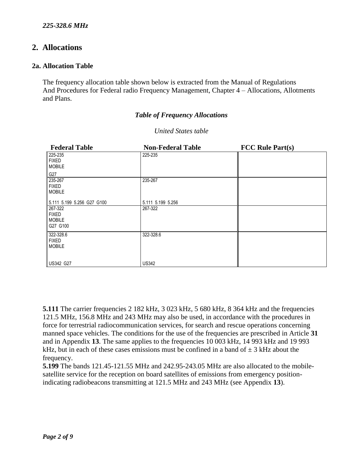# **2. Allocations**

#### **2a. Allocation Table**

The frequency allocation table shown below is extracted from the Manual of Regulations And Procedures for Federal radio Frequency Management, Chapter 4 – Allocations, Allotments and Plans.

### *Table of Frequency Allocations*

| <b>Federal Table</b>                                 | <b>Non-Federal Table</b> | <b>FCC Rule Part(s)</b> |
|------------------------------------------------------|--------------------------|-------------------------|
| 225-235<br><b>FIXED</b><br><b>MOBILE</b>             | 225-235                  |                         |
| G27                                                  |                          |                         |
| 235-267<br><b>FIXED</b><br><b>MOBILE</b>             | 235-267                  |                         |
| 5.111 5.199 5.256 G27 G100                           | 5.111 5.199 5.256        |                         |
| 267-322<br><b>FIXED</b><br><b>MOBILE</b><br>G27 G100 | 267-322                  |                         |
| 322-328.6<br><b>FIXED</b><br><b>MOBILE</b>           | 322-328.6                |                         |
| <b>US342 G27</b>                                     | <b>US342</b>             |                         |

#### *United States table*

**5.111** The carrier frequencies 2 182 kHz, 3 023 kHz, 5 680 kHz, 8 364 kHz and the frequencies 121.5 MHz, 156.8 MHz and 243 MHz may also be used, in accordance with the procedures in force for terrestrial radiocommunication services, for search and rescue operations concerning manned space vehicles. The conditions for the use of the frequencies are prescribed in Article **31**  and in Appendix **13**. The same applies to the frequencies 10 003 kHz, 14 993 kHz and 19 993 kHz, but in each of these cases emissions must be confined in a band of  $\pm$  3 kHz about the frequency.

**5.199** The bands 121.45-121.55 MHz and 242.95-243.05 MHz are also allocated to the mobilesatellite service for the reception on board satellites of emissions from emergency positionindicating radiobeacons transmitting at 121.5 MHz and 243 MHz (see Appendix **13**).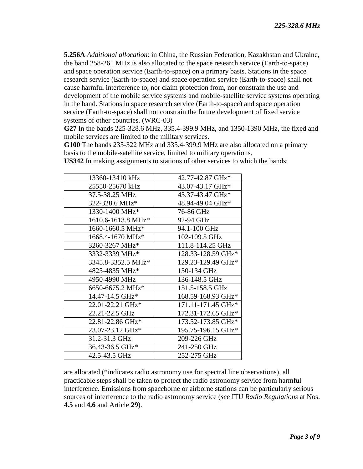**5.256A** *Additional allocation*: in China, the Russian Federation, Kazakhstan and Ukraine, the band 258-261 MHz is also allocated to the space research service (Earth-to-space) and space operation service (Earth-to-space) on a primary basis. Stations in the space research service (Earth-to-space) and space operation service (Earth-to-space) shall not cause harmful interference to, nor claim protection from, nor constrain the use and development of the mobile service systems and mobile-satellite service systems operating in the band. Stations in space research service (Earth-to-space) and space operation service (Earth-to-space) shall not constrain the future development of fixed service systems of other countries. (WRC-03)

**G27** In the bands 225-328.6 MHz, 335.4-399.9 MHz, and 1350-1390 MHz, the fixed and mobile services are limited to the military services.

**G100** The bands 235-322 MHz and 335.4-399.9 MHz are also allocated on a primary basis to the mobile-satellite service, limited to military operations.

| 13360-13410 kHz    | 42.77-42.87 GHz*   |
|--------------------|--------------------|
| 25550-25670 kHz    | 43.07-43.17 GHz*   |
| 37.5-38.25 MHz     | 43.37-43.47 GHz*   |
| 322-328.6 MHz*     | 48.94-49.04 GHz*   |
| 1330-1400 MHz*     | 76-86 GHz          |
| 1610.6-1613.8 MHz* | 92-94 GHz          |
| 1660-1660.5 MHz*   | 94.1-100 GHz       |
| 1668.4-1670 MHz*   | 102-109.5 GHz      |
| 3260-3267 MHz*     | 111.8-114.25 GHz   |
| 3332-3339 MHz*     | 128.33-128.59 GHz* |
| 3345.8-3352.5 MHz* | 129.23-129.49 GHz* |
| 4825-4835 MHz*     | 130-134 GHz        |
| 4950-4990 MHz      | 136-148.5 GHz      |
| 6650-6675.2 MHz*   | 151.5-158.5 GHz    |
| 14.47-14.5 GHz*    | 168.59-168.93 GHz* |
| 22.01-22.21 GHz*   | 171.11-171.45 GHz* |
| 22.21-22.5 GHz     | 172.31-172.65 GHz* |
| 22.81-22.86 GHz*   | 173.52-173.85 GHz* |
| 23.07-23.12 GHz*   | 195.75-196.15 GHz* |
| 31.2-31.3 GHz      | 209-226 GHz        |
| 36.43-36.5 GHz*    | 241-250 GHz        |
| 42.5-43.5 GHz      | 252-275 GHz        |

**US342** In making assignments to stations of other services to which the bands:

are allocated (\*indicates radio astronomy use for spectral line observations), all practicable steps shall be taken to protect the radio astronomy service from harmful interference. Emissions from spaceborne or airborne stations can be particularly serious sources of interference to the radio astronomy service (*see* ITU *Radio Regulations* at Nos. **4.5** and **4.6** and Article **29**).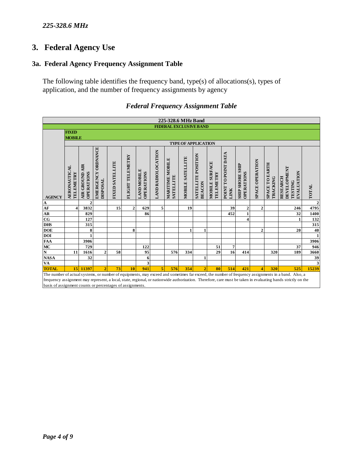## *225-328.6 MHz*

# **3. Federal Agency Use**

# **3a. Federal Agency Frequency Assignment Table**

The following table identifies the frequency band, type(s) of allocations(s), types of application, and the number of frequency assignments by agency

| 225-328.6 MHz Band                                                                                                                                                                                                                                                                                                                                                              |                                  |                                               |                                       |                        |                  |                                  |                    |                              |                         |                                     |                                    |                                    |                                      |                 |                                   |                                                         |              |
|---------------------------------------------------------------------------------------------------------------------------------------------------------------------------------------------------------------------------------------------------------------------------------------------------------------------------------------------------------------------------------|----------------------------------|-----------------------------------------------|---------------------------------------|------------------------|------------------|----------------------------------|--------------------|------------------------------|-------------------------|-------------------------------------|------------------------------------|------------------------------------|--------------------------------------|-----------------|-----------------------------------|---------------------------------------------------------|--------------|
| <b>FEDERAL EXCLUSIVE BAND</b><br><b>FIXED</b>                                                                                                                                                                                                                                                                                                                                   |                                  |                                               |                                       |                        |                  |                                  |                    |                              |                         |                                     |                                    |                                    |                                      |                 |                                   |                                                         |              |
|                                                                                                                                                                                                                                                                                                                                                                                 | <b>MOBILE</b>                    |                                               |                                       |                        |                  |                                  |                    |                              |                         |                                     |                                    |                                    |                                      |                 |                                   |                                                         |              |
|                                                                                                                                                                                                                                                                                                                                                                                 | <b>TYPE OF APPLICATION</b>       |                                               |                                       |                        |                  |                                  |                    |                              |                         |                                     |                                    |                                    |                                      |                 |                                   |                                                         |              |
|                                                                                                                                                                                                                                                                                                                                                                                 |                                  |                                               |                                       |                        |                  |                                  |                    |                              |                         |                                     |                                    |                                    |                                      |                 |                                   |                                                         |              |
|                                                                                                                                                                                                                                                                                                                                                                                 | <b>AERONAUTICAL</b><br>TELEMETRY | <b>AIR</b><br>OPERATIONS<br><b>AIR GROUND</b> | EMERGENCY ORDNANCE<br><b>DISPOSAL</b> | <b>FIXED SATELLITE</b> | FLIGHT TELEMETRY | <b>LAND MOBILE</b><br>OPERATIONS | LAND RADIOLOCATION | MARITIME MOBILE<br>SATELLITE | <b>MOBILE SATELLITE</b> | SATELLITE POSITION<br><b>BEACON</b> | <b>MOBILE SURFACE</b><br>TELEMETRY | POINT TO POINT DATA<br><b>LINK</b> | <b>SHIP SHORE SHIP</b><br>OPERATIONS | SPACE OPERATION | <b>SPACE TO EARTH</b><br>TRACKING | <b>DEVELOPMENT</b><br>EVALUATION<br>RESEARCH<br>TESTING | <b>TOTAL</b> |
| <b>AGENCY</b>                                                                                                                                                                                                                                                                                                                                                                   |                                  | $\overline{2}$                                |                                       |                        |                  |                                  |                    |                              |                         |                                     |                                    |                                    |                                      |                 |                                   |                                                         | $\mathbf{2}$ |
| $\frac{\mathbf{A}}{\mathbf{A}\mathbf{F}}$<br>$\frac{\mathbf{A}\mathbf{F}}{\mathbf{A}\mathbf{R}}$                                                                                                                                                                                                                                                                                | $\overline{\mathbf{4}}$          | 3832                                          |                                       | 15                     | $\overline{2}$   | 629                              | 5                  |                              | 19                      |                                     |                                    | 39                                 | $\overline{2}$                       | $\overline{2}$  |                                   | 246                                                     | 4795         |
|                                                                                                                                                                                                                                                                                                                                                                                 |                                  | 829                                           |                                       |                        |                  | 86                               |                    |                              |                         |                                     |                                    | 452                                | $\mathbf{1}$                         |                 |                                   | 32                                                      | 1400         |
|                                                                                                                                                                                                                                                                                                                                                                                 |                                  | 127                                           |                                       |                        |                  |                                  |                    |                              |                         |                                     |                                    |                                    | 4                                    |                 |                                   |                                                         | 132          |
| <b>DHS</b>                                                                                                                                                                                                                                                                                                                                                                      |                                  | 315                                           |                                       |                        |                  |                                  |                    |                              |                         |                                     |                                    |                                    |                                      |                 |                                   |                                                         | 315          |
| <b>DOE</b>                                                                                                                                                                                                                                                                                                                                                                      |                                  | 8                                             |                                       |                        | 8                |                                  |                    |                              | 1                       | 1                                   |                                    |                                    |                                      | $\overline{2}$  |                                   | 20                                                      | 40           |
| <b>DOI</b>                                                                                                                                                                                                                                                                                                                                                                      |                                  | $\mathbf{1}$                                  |                                       |                        |                  |                                  |                    |                              |                         |                                     |                                    |                                    |                                      |                 |                                   |                                                         | $\mathbf{1}$ |
| FAA<br>MC                                                                                                                                                                                                                                                                                                                                                                       |                                  | 3906                                          |                                       |                        |                  |                                  |                    |                              |                         |                                     |                                    |                                    |                                      |                 |                                   |                                                         | 3906         |
|                                                                                                                                                                                                                                                                                                                                                                                 |                                  | 729                                           |                                       |                        |                  | 122                              |                    |                              |                         |                                     | 51                                 | $\overline{7}$                     |                                      |                 |                                   | 37                                                      | 946          |
| $\overline{\bf N}$                                                                                                                                                                                                                                                                                                                                                              | 11                               | 1616                                          | $\mathbf{2}$                          | 58                     |                  | 95                               |                    | 576                          | 334                     |                                     | 29                                 | 16                                 | 414                                  |                 | 320                               | 189                                                     | 3660         |
| NASA<br>VA                                                                                                                                                                                                                                                                                                                                                                      |                                  | 32                                            |                                       |                        |                  | 6                                |                    |                              |                         |                                     |                                    |                                    |                                      |                 |                                   |                                                         | 39           |
|                                                                                                                                                                                                                                                                                                                                                                                 |                                  |                                               |                                       |                        |                  | 3                                |                    |                              |                         |                                     |                                    |                                    |                                      |                 |                                   |                                                         | 3            |
| <b>TOTAL</b>                                                                                                                                                                                                                                                                                                                                                                    | 15 <sup>1</sup>                  | 11397                                         | $\overline{2}$                        | 73                     | 10               | 941                              | 5                  | 576                          | 354                     | $\overline{2}$                      | 80                                 | 514                                | 421                                  | 4               | 320                               | 525                                                     | 15239        |
| The number of actual systems, or number of equipments, may exceed and sometimes far exceed, the number of frequency assignments in a band. Also, a<br>frequency assignment may represent, a local, state, regional, or nationwide authorization. Therefore, care must be taken in evaluating bands strictly on the<br>basis of assignment counts or percentages of assignments. |                                  |                                               |                                       |                        |                  |                                  |                    |                              |                         |                                     |                                    |                                    |                                      |                 |                                   |                                                         |              |

## *Federal Frequency Assignment Table*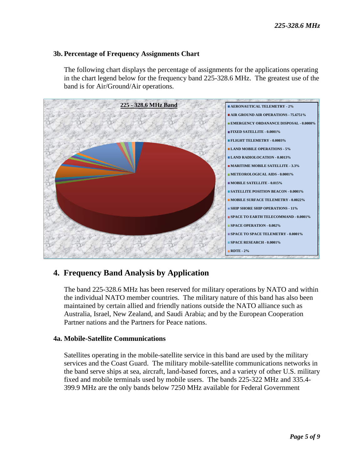### **3b. Percentage of Frequency Assignments Chart**

The following chart displays the percentage of assignments for the applications operating in the chart legend below for the frequency band 225-328.6 MHz. The greatest use of the band is for Air/Ground/Air operations.



# **4. Frequency Band Analysis by Application**

The band 225-328.6 MHz has been reserved for military operations by NATO and within the individual NATO member countries. The military nature of this band has also been maintained by certain allied and friendly nations outside the NATO alliance such as Australia, Israel, New Zealand, and Saudi Arabia; and by the European Cooperation Partner nations and the Partners for Peace nations.

#### **4a. Mobile-Satellite Communications**

 Satellites operating in the mobile-satellite service in this band are used by the military services and the Coast Guard. The military mobile-satellite communications networks in the band serve ships at sea, aircraft, land-based forces, and a variety of other U.S. military fixed and mobile terminals used by mobile users. The bands 225-322 MHz and 335.4- 399.9 MHz are the only bands below 7250 MHz available for Federal Government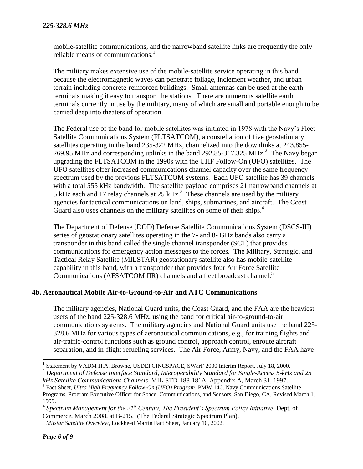mobile-satellite communications, and the narrowband satellite links are frequently the only reliable means of communications.<sup>1</sup>

The military makes extensive use of the mobile-satellite service operating in this band because the electromagnetic waves can penetrate foliage, inclement weather, and urban terrain including concrete-reinforced buildings. Small antennas can be used at the earth terminals making it easy to transport the stations. There are numerous satellite earth terminals currently in use by the military, many of which are small and portable enough to be carried deep into theaters of operation.

The Federal use of the band for mobile satellites was initiated in 1978 with the Navy's Fleet Satellite Communications System (FLTSATCOM), a constellation of five geostationary satellites operating in the band 235-322 MHz, channelized into the downlinks at 243.855- 269.95 MHz and corresponding uplinks in the band 292.85-317.325 MHz. $^2$  The Navy began upgrading the FLTSATCOM in the 1990s with the UHF Follow-On (UFO) satellites. The UFO satellites offer increased communications channel capacity over the same frequency spectrum used by the previous FLTSATCOM systems. Each UFO satellite has 39 channels with a total 555 kHz bandwidth. The satellite payload comprises 21 narrowband channels at 5 kHz each and 17 relay channels at 25 kHz.<sup>3</sup> These channels are used by the military agencies for tactical communications on land, ships, submarines, and aircraft. The Coast Guard also uses channels on the military satellites on some of their ships.<sup>4</sup>

The Department of Defense (DOD) Defense Satellite Communications System (DSCS-III) series of geostationary satellites operating in the 7- and 8- GHz bands also carry a transponder in this band called the single channel transponder (SCT) that provides communications for emergency action messages to the forces. The Military, Strategic, and Tactical Relay Satellite (MILSTAR) geostationary satellite also has mobile-satellite capability in this band, with a transponder that provides four Air Force Satellite Communications (AFSATCOM IIR) channels and a fleet broadcast channel.<sup>5</sup>

#### **4b. Aeronautical Mobile Air-to-Ground-to-Air and ATC Communications**

The military agencies, National Guard units, the Coast Guard, and the FAA are the heaviest users of the band 225-328.6 MHz, using the band for critical air-to-ground-to-air communications systems. The military agencies and National Guard units use the band 225- 328.6 MHz for various types of aeronautical communications, e.g., for training flights and air-traffic-control functions such as ground control, approach control, enroute aircraft separation, and in-flight refueling services. The Air Force, Army, Navy, and the FAA have

<sup>&</sup>lt;sup>1</sup> Statement by VADM H.A. Browne, USDEPCINCSPACE, SWarF 2000 Interim Report, July 18, 2000.

<sup>2</sup> *Department of Defense Interface Standard, Interoperability Standard for Single-Access 5-kHz and 25* 

*kHz Satellite Communications Channels*, MIL-STD-188-181A, Appendix A, March 31, 1997.

<sup>&</sup>lt;sup>3</sup> Fact Sheet, *Ultra High Frequency Follow-On (UFO) Program*, PMW 146, Navy Communications Satellite Programs, Program Executive Officer for Space, Communications, and Sensors, San Diego, CA, Revised March 1, 1999.

<sup>4</sup> *Spectrum Management for the 21st Century, The President's Spectrum Policy Initiative*, Dept. of Commerce, March 2008, at B-215. (The Federal Strategic Spectrum Plan).

<sup>5</sup> *Milstar Satellite Overview*, Lockheed Martin Fact Sheet, January 10, 2002.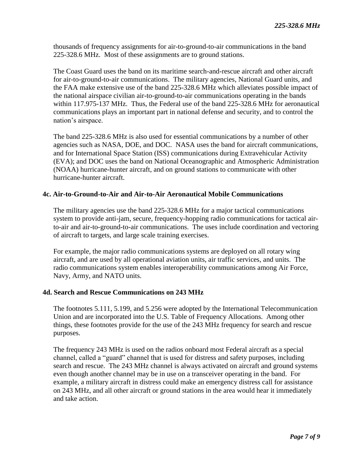thousands of frequency assignments for air-to-ground-to-air communications in the band 225-328.6 MHz. Most of these assignments are to ground stations.

The Coast Guard uses the band on its maritime search-and-rescue aircraft and other aircraft for air-to-ground-to-air communications. The military agencies, National Guard units, and the FAA make extensive use of the band 225-328.6 MHz which alleviates possible impact of the national airspace civilian air-to-ground-to-air communications operating in the bands within 117.975-137 MHz. Thus, the Federal use of the band 225-328.6 MHz for aeronautical communications plays an important part in national defense and security, and to control the nation's airspace.

The band 225-328.6 MHz is also used for essential communications by a number of other agencies such as NASA, DOE, and DOC. NASA uses the band for aircraft communications, and for International Space Station (ISS) communications during Extravehicular Activity (EVA); and DOC uses the band on National Oceanographic and Atmospheric Administration (NOAA) hurricane-hunter aircraft, and on ground stations to communicate with other hurricane-hunter aircraft.

#### **4c. Air-to-Ground-to-Air and Air-to-Air Aeronautical Mobile Communications**

The military agencies use the band 225-328.6 MHz for a major tactical communications system to provide anti-jam, secure, frequency-hopping radio communications for tactical airto-air and air-to-ground-to-air communications. The uses include coordination and vectoring of aircraft to targets, and large scale training exercises.

For example, the major radio communications systems are deployed on all rotary wing aircraft, and are used by all operational aviation units, air traffic services, and units. The radio communications system enables interoperability communications among Air Force, Navy, Army, and NATO units.

#### **4d. Search and Rescue Communications on 243 MHz**

The footnotes 5.111, 5.199, and 5.256 were adopted by the International Telecommunication Union and are incorporated into the U.S. Table of Frequency Allocations. Among other things, these footnotes provide for the use of the 243 MHz frequency for search and rescue purposes.

The frequency 243 MHz is used on the radios onboard most Federal aircraft as a special channel, called a "guard" channel that is used for distress and safety purposes, including search and rescue. The 243 MHz channel is always activated on aircraft and ground systems even though another channel may be in use on a transceiver operating in the band. For example, a military aircraft in distress could make an emergency distress call for assistance on 243 MHz, and all other aircraft or ground stations in the area would hear it immediately and take action.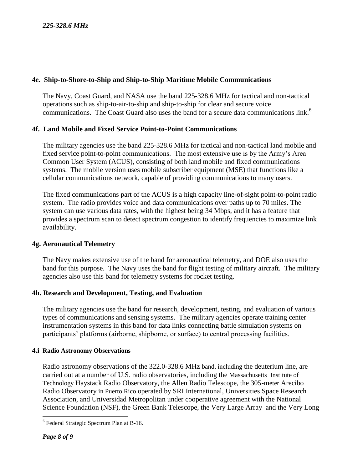## **4e. Ship-to-Shore-to-Ship and Ship-to-Ship Maritime Mobile Communications**

The Navy, Coast Guard, and NASA use the band 225-328.6 MHz for tactical and non-tactical operations such as ship-to-air-to-ship and ship-to-ship for clear and secure voice communications. The Coast Guard also uses the band for a secure data communications link.<sup>6</sup>

#### **4f. Land Mobile and Fixed Service Point-to-Point Communications**

The military agencies use the band 225-328.6 MHz for tactical and non-tactical land mobile and fixed service point-to-point communications. The most extensive use is by the Army's Area Common User System (ACUS), consisting of both land mobile and fixed communications systems. The mobile version uses mobile subscriber equipment (MSE) that functions like a cellular communications network, capable of providing communications to many users.

The fixed communications part of the ACUS is a high capacity line-of-sight point-to-point radio system. The radio provides voice and data communications over paths up to 70 miles. The system can use various data rates, with the highest being 34 Mbps, and it has a feature that provides a spectrum scan to detect spectrum congestion to identify frequencies to maximize link availability.

#### **4g. Aeronautical Telemetry**

The Navy makes extensive use of the band for aeronautical telemetry, and DOE also uses the band for this purpose. The Navy uses the band for flight testing of military aircraft. The military agencies also use this band for telemetry systems for rocket testing.

## **4h. Research and Development, Testing, and Evaluation**

The military agencies use the band for research, development, testing, and evaluation of various types of communications and sensing systems. The military agencies operate training center instrumentation systems in this band for data links connecting battle simulation systems on participants' platforms (airborne, shipborne, or surface) to central processing facilities.

#### **4.i Radio Astronomy Observations**

Radio astronomy observations of the 322.0-328.6 MHz band, including the deuterium line, are carried out at a number of U.S. radio observatories, including the Massachusetts Institute of Technology Haystack Radio Observatory, the Allen Radio Telescope, the 305-meter Arecibo Radio Observatory in Puerto Rico operated by SRI International, Universities Space Research Association, and Universidad Metropolitan under cooperative agreement with the National Science Foundation (NSF), the Green Bank Telescope, the Very Large Array and the Very Long

l <sup>6</sup> Federal Strategic Spectrum Plan at B-16.